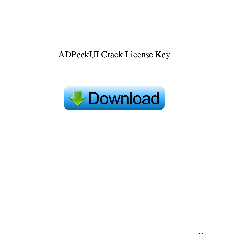# ADPeekUI Crack License Key

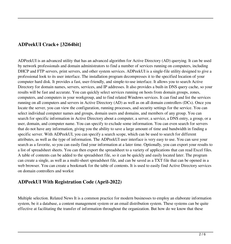# **ADPeekUI Crack+ [32|64bit]**

ADPeekUI is an advanced utility that has an advanced algorithm for Active Directory (AD) querying. It can be used by network professionals and domain administrators to find a number of services running on computers, including DHCP and FTP servers, print servers, and other system services. ADPeekUI is a single-file utility designed to give a professional look to its user interface. The installation program decompresses it to the specified location of your computer hard disk. It provides a fast, user-friendly, and simple-to-use interface. It allows you to search Active Directory for domain names, servers, services, and IP addresses. It also provides a built-in DNS query cache, so your results will be fast and accurate. You can quickly select services running on hosts from domain groups, zones, computers, and computers in your workgroup, and to find related Windows services. It can find and list the services running on all computers and servers in Active Directory (AD) as well as on all domain controllers (DCs). Once you locate the server, you can view the configuration, running processes, and security settings for the service. You can select individual computer names and groups, domain users and domains, and members of any group. You can search for specific information in Active Directory about a computer, a server, a service, a DNS entry, a group, or a user, domain, and computer name. You can specify to exclude some information. You can even search for servers that do not have any information, giving you the ability to save a large amount of time and bandwidth in finding a specific server. With ADPeekUI, you can specify a search scope, which can be used to search for different attributes, as well as the type of information. The ADPeekUI user interface is very easy to use. You can save your search as a favorite, so you can easily find your information at a later time. Optionally, you can export your results to a list of spreadsheet sheets. You can then export the spreadsheet to a variety of applications that can read Excel files. A table of contents can be added to the spreadsheet file, so it can be quickly and easily located later. The program can create a single, as well as a multi-sheet spreadsheet file, and can be saved as a TXT file that can be opened in a web browser. You can create a bookmark for the table of contents. It is used to easily find Active Directory services on domain controllers and workst

### **ADPeekUI With Registration Code (April-2022)**

Multiple selection. Related News It is a common practice for modern businesses to employ an elaborate information system, be it a database, a content management system or an email distribution system. These systems can be quite effective at facilitating the transfer of information throughout the organization. But how do we know that these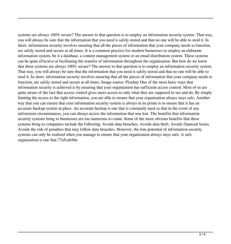systems are always 100% secure? The answer to that question is to employ an information security system. That way, you will always be sure that the information that you need is safely stored and that no one will be able to steal it. In short, information security involves ensuring that all the pieces of information that your company needs to function, are safely stored and secure at all times. It is a common practice for modern businesses to employ an elaborate information system, be it a database, a content management system or an email distribution system. These systems can be quite effective at facilitating the transfer of information throughout the organization. But how do we know that these systems are always 100% secure? The answer to that question is to employ an information security system. That way, you will always be sure that the information that you need is safely stored and that no one will be able to steal it. In short, information security involves ensuring that all the pieces of information that your company needs to function, are safely stored and secure at all times. Image source: Pixabay One of the most basic ways that information security is achieved is by ensuring that your organization has sufficient access control. Most of us are quite aware of the fact that access control gives users access to only what they are supposed to see and do. By simply limiting the access to the right information, you are able to ensure that your organization always stays safe. Another way that you can ensure that your information security system is always in its prime is to ensure that it has an accurate backup system in place. An accurate backup is one that is constantly used so that in the event of any unforeseen circumstances, you can always access the information that was lost. The benefits that information security systems bring to businesses are too numerous to count. Some of the more obvious benefits that these systems bring to companies include the following: Avoids data breaches. Avoids data theft. Avoids financial losses. Avoids the risk of penalties that may follow data breaches. However, the true potential of information security systems can only be realized when you manage to ensure that your organization always stays safe. A safe organization is one that 77a5ca646e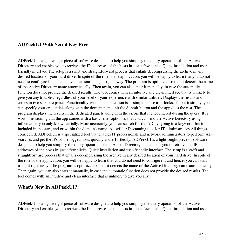#### **ADPeekUI With Serial Key Free**

ADPeekUI is a lightweight piece of software designed to help you simplify the query operation of the Active Directory and enables you to retrieve the IP addresses of the hosts in just a few clicks. Quick installation and userfriendly interface The setup is a swift and straightforward process that entails decompressing the archive in any desired location of your hard drive. In spite of the role of the application, you will be happy to learn that you do not need to configure it and hence, you can start using it right away. The program is optimized so that it detects the name of the Active Directory name automatically. Then again, you can also enter it manually, in case the automatic function does not provide the desired results. The tool comes with an intuitive and clean interface that is unlikely to give you any troubles, regardless of your level of your experience with similar utilities. Displays the results and errors in two separate panels Functionality-wise, the application is as simple to use as it looks. To put it simply, you can specify your credentials along with the domain name, hit the Submit button and the app does the rest. The program displays the results in the dedicated panels along with the errors that it encountered during the query. It is worth mentioning that the app comes with a basic filter option so that you can find the Active Directory using information you only know partially. More accurately, you can search for the AD by typing in a keyword that it is included in the start, end or within the domain's name. A useful AD scanning tool for IT administrators All things considered, ADPeekUI is a specialized tool that enables IT professionals and network administrators to perform AD searches and get the IPs of the logged hosts quickly and effortlessly. ADPeekUI is a lightweight piece of software designed to help you simplify the query operation of the Active Directory and enables you to retrieve the IP addresses of the hosts in just a few clicks. Quick installation and user-friendly interface The setup is a swift and straightforward process that entails decompressing the archive in any desired location of your hard drive. In spite of the role of the application, you will be happy to learn that you do not need to configure it and hence, you can start using it right away. The program is optimized so that it detects the name of the Active Directory name automatically. Then again, you can also enter it manually, in case the automatic function does not provide the desired results. The tool comes with an intuitive and clean interface that is unlikely to give you any

#### **What's New In ADPeekUI?**

ADPeekUI is a lightweight piece of software designed to help you simplify the query operation of the Active Directory and enables you to retrieve the IP addresses of the hosts in just a few clicks. Quick installation and user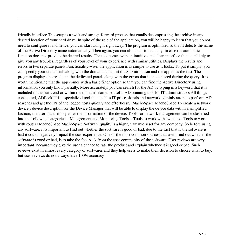friendly interface The setup is a swift and straightforward process that entails decompressing the archive in any desired location of your hard drive. In spite of the role of the application, you will be happy to learn that you do not need to configure it and hence, you can start using it right away. The program is optimized so that it detects the name of the Active Directory name automatically. Then again, you can also enter it manually, in case the automatic function does not provide the desired results. The tool comes with an intuitive and clean interface that is unlikely to give you any troubles, regardless of your level of your experience with similar utilities. Displays the results and errors in two separate panels Functionality-wise, the application is as simple to use as it looks. To put it simply, you can specify your credentials along with the domain name, hit the Submit button and the app does the rest. The program displays the results in the dedicated panels along with the errors that it encountered during the query. It is worth mentioning that the app comes with a basic filter option so that you can find the Active Directory using information you only know partially. More accurately, you can search for the AD by typing in a keyword that it is included in the start, end or within the domain's name. A useful AD scanning tool for IT administrators All things considered, ADPeekUI is a specialized tool that enables IT professionals and network administrators to perform AD searches and get the IPs of the logged hosts quickly and effortlessly. MachoSpace MachoSpace To create a network device's device description for the Device Manager that will be able to display the device data within a simplified fashion, the user must simply enter the information of the device. Tools for network management can be classified into the following categories: - Management and Monitoring Tools. - Tools to work with switches - Tools to work with routers MachoSpace MachoSpace Software quality is a highly valuable asset for any company. So before using any software, it is important to find out whether the software is good or bad, due to the fact that if the software is bad it could negatively impact the user experience. One of the most common sources that users find out whether the software is good or bad, is to take the feedback from the user community of the software. User reviews are very important, because they give the user a chance to rate the product and explain whether it is good or bad. Such reviews exist in almost every category of softwares and they help users to make their decision to choose what to buy, but user reviews do not always have 100% accuracy